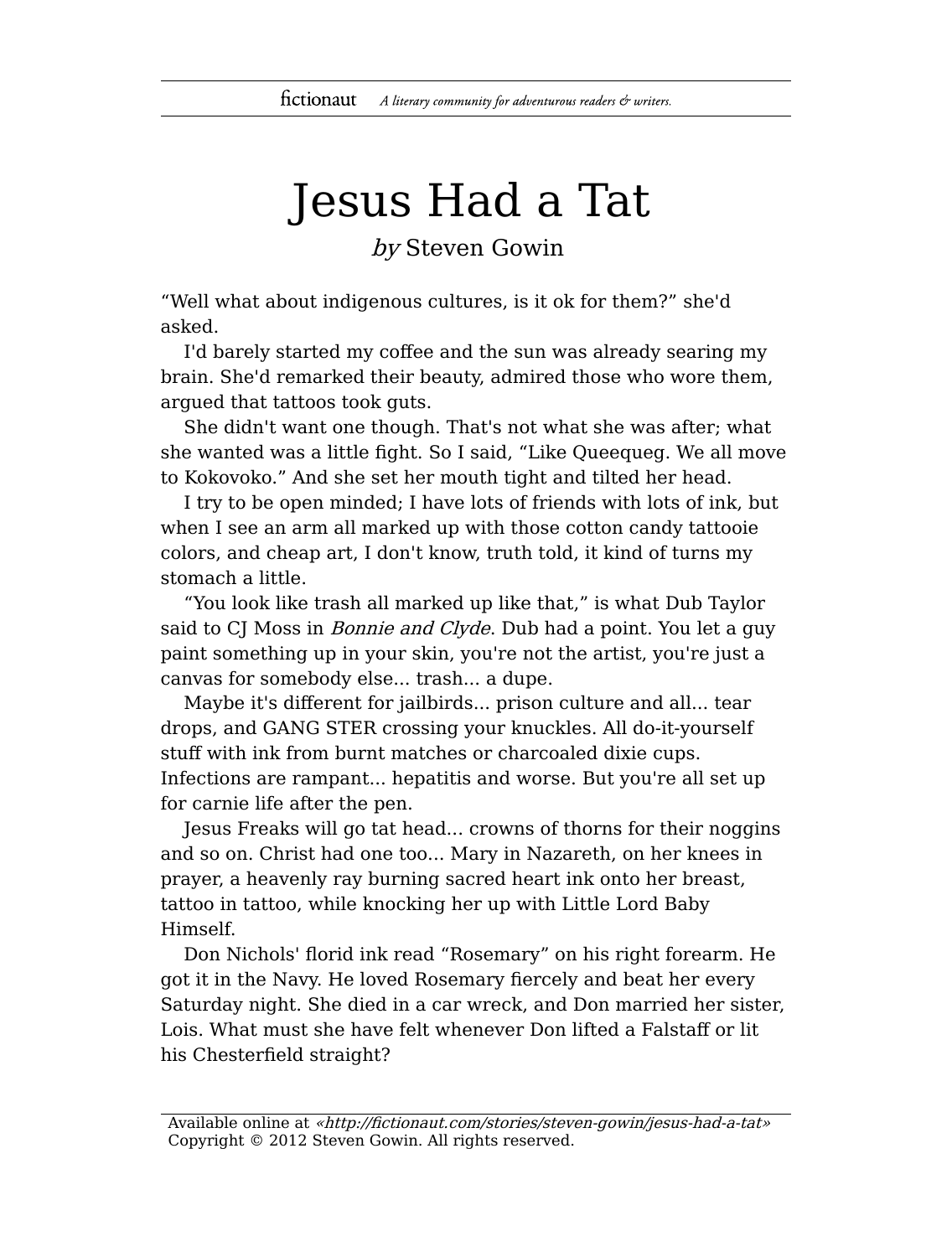## Jesus Had a Tat

## by Steven Gowin

"Well what about indigenous cultures, is it ok for them?" she'd asked.

I'd barely started my coffee and the sun was already searing my brain. She'd remarked their beauty, admired those who wore them, argued that tattoos took guts.

She didn't want one though. That's not what she was after; what she wanted was a little fight. So I said, "Like Queequeg. We all move to Kokovoko." And she set her mouth tight and tilted her head.

I try to be open minded; I have lots of friends with lots of ink, but when I see an arm all marked up with those cotton candy tattooie colors, and cheap art, I don't know, truth told, it kind of turns my stomach a little.

"You look like trash all marked up like that," is what Dub Taylor said to CJ Moss in *Bonnie and Clyde*. Dub had a point. You let a guy paint something up in your skin, you're not the artist, you're just a canvas for somebody else... trash... a dupe.

Maybe it's different for jailbirds... prison culture and all... tear drops, and GANG STER crossing your knuckles. All do-it-yourself stuff with ink from burnt matches or charcoaled dixie cups. Infections are rampant... hepatitis and worse. But you're all set up for carnie life after the pen.

Jesus Freaks will go tat head... crowns of thorns for their noggins and so on. Christ had one too... Mary in Nazareth, on her knees in prayer, a heavenly ray burning sacred heart ink onto her breast, tattoo in tattoo, while knocking her up with Little Lord Baby Himself.

Don Nichols' florid ink read "Rosemary" on his right forearm. He got it in the Navy. He loved Rosemary fiercely and beat her every Saturday night. She died in a car wreck, and Don married her sister, Lois. What must she have felt whenever Don lifted a Falstaff or lit his Chesterfield straight?

Available online at «http://fictionaut.com/stories/steven-gowin/jesus-had-a-tat» Copyright © 2012 Steven Gowin. All rights reserved.